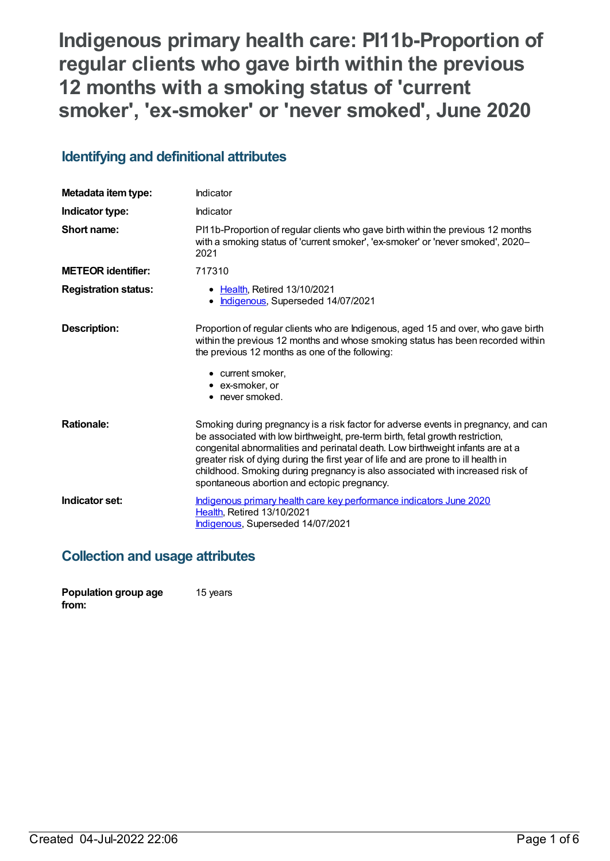# **Indigenous primary health care: PI11b-Proportion of regular clients who gave birth within the previous 12 months with a smoking status of 'current smoker' , 'ex-smoker' or 'never smoked' , June 2020**

## **Identifying and definitional attributes**

| Metadata item type:         | Indicator                                                                                                                                                                                                                                                                                                                                                                                                                                                                   |
|-----------------------------|-----------------------------------------------------------------------------------------------------------------------------------------------------------------------------------------------------------------------------------------------------------------------------------------------------------------------------------------------------------------------------------------------------------------------------------------------------------------------------|
| Indicator type:             | Indicator                                                                                                                                                                                                                                                                                                                                                                                                                                                                   |
| Short name:                 | PI11b-Proportion of regular clients who gave birth within the previous 12 months<br>with a smoking status of 'current smoker', 'ex-smoker' or 'never smoked', 2020-<br>2021                                                                                                                                                                                                                                                                                                 |
| <b>METEOR identifier:</b>   | 717310                                                                                                                                                                                                                                                                                                                                                                                                                                                                      |
| <b>Registration status:</b> | • Health, Retired 13/10/2021<br>Indigenous, Superseded 14/07/2021                                                                                                                                                                                                                                                                                                                                                                                                           |
| <b>Description:</b>         | Proportion of regular clients who are Indigenous, aged 15 and over, who gave birth<br>within the previous 12 months and whose smoking status has been recorded within<br>the previous 12 months as one of the following:<br>• current smoker,<br>• ex-smoker, or<br>• never smoked.                                                                                                                                                                                         |
| <b>Rationale:</b>           | Smoking during pregnancy is a risk factor for adverse events in pregnancy, and can<br>be associated with low birthweight, pre-term birth, fetal growth restriction,<br>congenital abnormalities and perinatal death. Low birthweight infants are at a<br>greater risk of dying during the first year of life and are prone to ill health in<br>childhood. Smoking during pregnancy is also associated with increased risk of<br>spontaneous abortion and ectopic pregnancy. |
| Indicator set:              | Indigenous primary health care key performance indicators June 2020<br>Health, Retired 13/10/2021<br>Indigenous, Superseded 14/07/2021                                                                                                                                                                                                                                                                                                                                      |

### **Collection and usage attributes**

| Population group age | 15 years |
|----------------------|----------|
| from:                |          |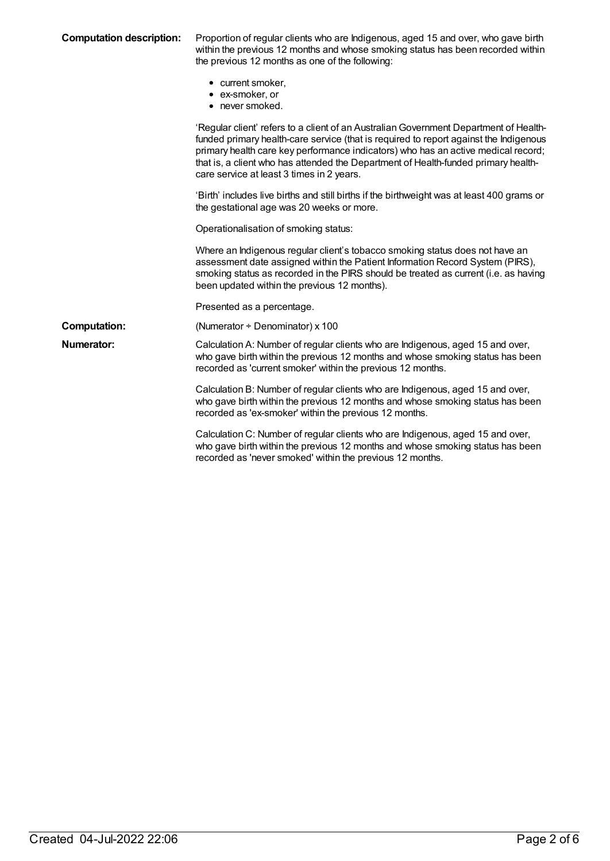| <b>Computation description:</b> |  |
|---------------------------------|--|
|---------------------------------|--|

**Computation description:** Proportion of regular clients who are Indigenous, aged 15 and over, who gave birth within the previous 12 months and whose smoking status has been recorded within the previous 12 months as one of the following:

- current smoker,
- ex-smoker, or
- never smoked.

|                     | וויט וויט וויט ווי                                                                                                                                                                                                                                                                                                                                                                                     |
|---------------------|--------------------------------------------------------------------------------------------------------------------------------------------------------------------------------------------------------------------------------------------------------------------------------------------------------------------------------------------------------------------------------------------------------|
|                     | 'Regular client' refers to a client of an Australian Government Department of Health-<br>funded primary health-care service (that is required to report against the Indigenous<br>primary health care key performance indicators) who has an active medical record;<br>that is, a client who has attended the Department of Health-funded primary health-<br>care service at least 3 times in 2 years. |
|                     | 'Birth' includes live births and still births if the birthweight was at least 400 grams or<br>the gestational age was 20 weeks or more.                                                                                                                                                                                                                                                                |
|                     | Operationalisation of smoking status:                                                                                                                                                                                                                                                                                                                                                                  |
|                     | Where an Indigenous regular client's tobacco smoking status does not have an<br>assessment date assigned within the Patient Information Record System (PIRS),<br>smoking status as recorded in the PIRS should be treated as current (i.e. as having<br>been updated within the previous 12 months).                                                                                                   |
|                     | Presented as a percentage.                                                                                                                                                                                                                                                                                                                                                                             |
| <b>Computation:</b> | (Numerator $\div$ Denominator) x 100                                                                                                                                                                                                                                                                                                                                                                   |
| Numerator:          | Calculation A: Number of regular clients who are Indigenous, aged 15 and over,<br>who gave birth within the previous 12 months and whose smoking status has been<br>recorded as 'current smoker' within the previous 12 months.                                                                                                                                                                        |
|                     | Calculation B: Number of regular clients who are Indigenous, aged 15 and over,<br>who gave birth within the previous 12 months and whose smoking status has been<br>recorded as 'ex-smoker' within the previous 12 months.                                                                                                                                                                             |
|                     | Calculation C: Number of regular clients who are Indigenous, aged 15 and over,<br>who gave birth within the previous 12 months and whose smoking status has been<br>recorded as 'never smoked' within the previous 12 months.                                                                                                                                                                          |
|                     |                                                                                                                                                                                                                                                                                                                                                                                                        |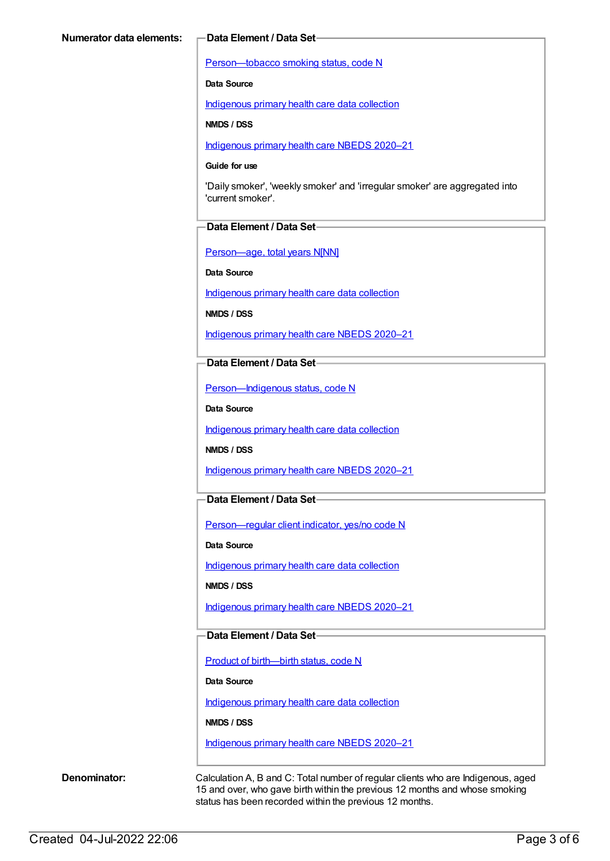[Person—tobacco](https://meteor.aihw.gov.au/content/270311) smoking status, code N

**Data Source**

[Indigenous](https://meteor.aihw.gov.au/content/430643) primary health care data collection

**NMDS / DSS**

[Indigenous](https://meteor.aihw.gov.au/content/715320) primary health care NBEDS 2020–21

#### **Guide for use**

'Daily smoker', 'weekly smoker' and 'irregular smoker' are aggregated into 'current smoker'.

#### **Data Element / Data Set**

[Person—age,](https://meteor.aihw.gov.au/content/303794) total years N[NN]

**Data Source**

[Indigenous](https://meteor.aihw.gov.au/content/430643) primary health care data collection

**NMDS / DSS**

[Indigenous](https://meteor.aihw.gov.au/content/715320) primary health care NBEDS 2020–21

**Data Element / Data Set**

[Person—Indigenous](https://meteor.aihw.gov.au/content/602543) status, code N

**Data Source**

[Indigenous](https://meteor.aihw.gov.au/content/430643) primary health care data collection

**NMDS / DSS**

[Indigenous](https://meteor.aihw.gov.au/content/715320) primary health care NBEDS 2020–21

### **Data Element / Data Set**

[Person—regular](https://meteor.aihw.gov.au/content/686291) client indicator, yes/no code N

**Data Source**

[Indigenous](https://meteor.aihw.gov.au/content/430643) primary health care data collection

**NMDS / DSS**

[Indigenous](https://meteor.aihw.gov.au/content/715320) primary health care NBEDS 2020–21

#### **Data Element / Data Set**

Product of [birth—birth](https://meteor.aihw.gov.au/content/695437) status, code N

**Data Source**

[Indigenous](https://meteor.aihw.gov.au/content/430643) primary health care data collection

**NMDS / DSS**

[Indigenous](https://meteor.aihw.gov.au/content/715320) primary health care NBEDS 2020–21

**Denominator:** Calculation A, B and C: Total number of regular clients who are Indigenous, aged 15 and over, who gave birth within the previous 12 months and whose smoking status has been recorded within the previous 12 months.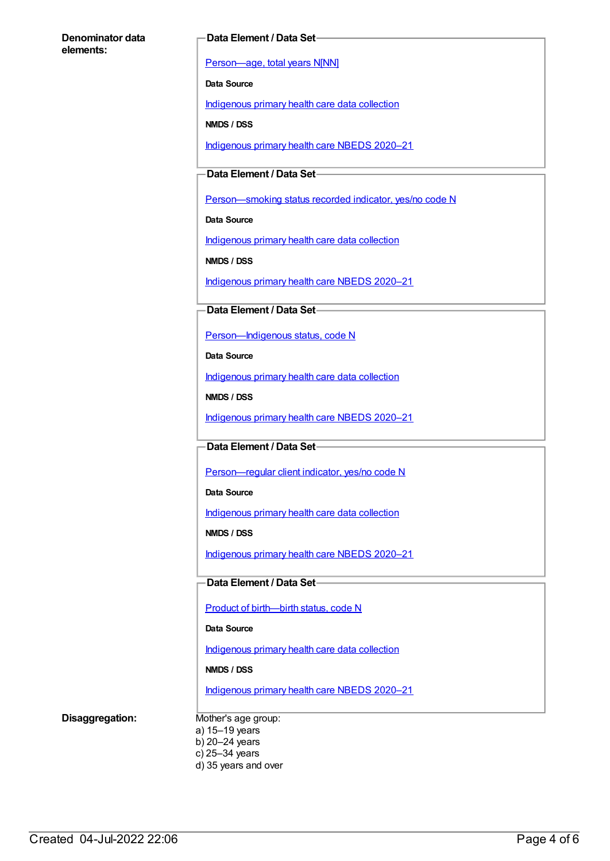#### **Denominator data elements:**

#### **Data Element / Data Set**

[Person—age,](https://meteor.aihw.gov.au/content/303794) total years N[NN]

**Data Source**

[Indigenous](https://meteor.aihw.gov.au/content/430643) primary health care data collection

**NMDS / DSS**

[Indigenous](https://meteor.aihw.gov.au/content/715320) primary health care NBEDS 2020–21

**Data Element / Data Set**

Person-smoking status recorded indicator, yes/no code N

**Data Source**

[Indigenous](https://meteor.aihw.gov.au/content/430643) primary health care data collection

**NMDS / DSS**

[Indigenous](https://meteor.aihw.gov.au/content/715320) primary health care NBEDS 2020–21

**Data Element / Data Set**

[Person—Indigenous](https://meteor.aihw.gov.au/content/602543) status, code N

**Data Source**

[Indigenous](https://meteor.aihw.gov.au/content/430643) primary health care data collection

**NMDS / DSS**

[Indigenous](https://meteor.aihw.gov.au/content/715320) primary health care NBEDS 2020–21

**Data Element / Data Set**

[Person—regular](https://meteor.aihw.gov.au/content/686291) client indicator, yes/no code N

**Data Source**

[Indigenous](https://meteor.aihw.gov.au/content/430643) primary health care data collection

**NMDS / DSS**

[Indigenous](https://meteor.aihw.gov.au/content/715320) primary health care NBEDS 2020–21

**Data Element / Data Set**

Product of [birth—birth](https://meteor.aihw.gov.au/content/695437) status, code N

**Data Source**

[Indigenous](https://meteor.aihw.gov.au/content/430643) primary health care data collection

**NMDS / DSS**

[Indigenous](https://meteor.aihw.gov.au/content/715320) primary health care NBEDS 2020–21

**Disaggregation:** Mother's age group: a) 15–19 years b) 20–24 years c) 25–34 years d) 35 years and over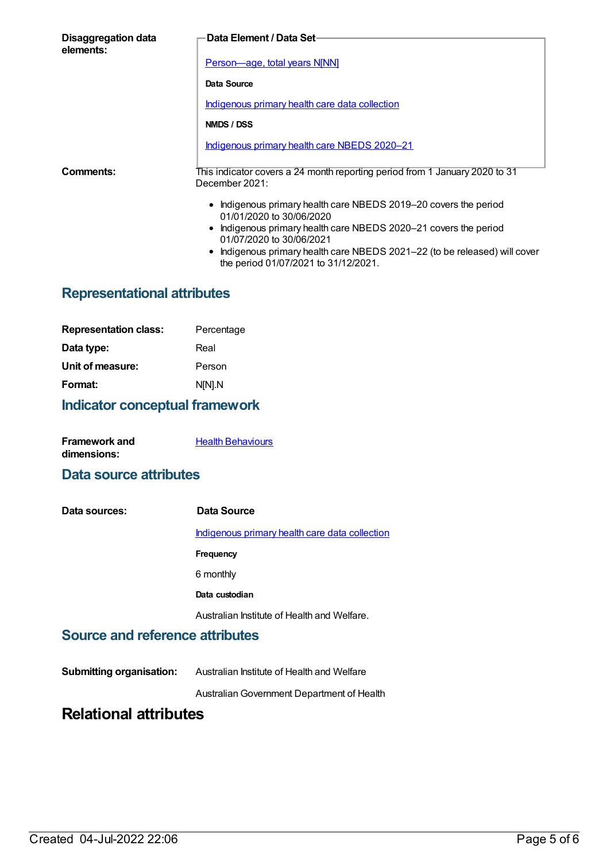| Disaggregation data<br>elements: | Data Element / Data Set-                                                                                           |  |
|----------------------------------|--------------------------------------------------------------------------------------------------------------------|--|
|                                  | Person-age, total years N[NN]                                                                                      |  |
|                                  | Data Source                                                                                                        |  |
|                                  | <u>Indigenous primary health care data collection</u>                                                              |  |
| NMDS / DSS                       |                                                                                                                    |  |
|                                  | Indigenous primary health care NBEDS 2020-21                                                                       |  |
| Comments:                        | This indicator covers a 24 month reporting period from 1 January 2020 to 31<br>December 2021:                      |  |
|                                  | • Indigenous primary health care NBEDS 2019-20 covers the period<br>01/01/2020 to 30/06/2020                       |  |
|                                  | • Indigenous primary health care NBEDS 2020–21 covers the period<br>01/07/2020 to 30/06/2021                       |  |
|                                  | • Indigenous primary health care NBEDS 2021-22 (to be released) will cover<br>the period 01/07/2021 to 31/12/2021. |  |

# **Representational attributes**

| <b>Representation class:</b> | Percentage |
|------------------------------|------------|
| Data type:                   | Real       |
| Unit of measure:             | Person     |
| Format:                      | N[N].N     |
|                              |            |

# **Indicator conceptual framework**

| <b>Framework and</b> | <b>Health Behaviours</b> |
|----------------------|--------------------------|
| dimensions:          |                          |

### **Data source attributes**

| Data sources: | Data Source                                    |
|---------------|------------------------------------------------|
|               | Indigenous primary health care data collection |
|               | Frequency                                      |
|               | 6 monthly                                      |
|               | Data custodian                                 |
|               | Australian Institute of Health and Welfare.    |

## **Source and reference attributes**

**Submitting organisation:** Australian Institute of Health and Welfare

AustralianGovernment Department of Health

# **Relational attributes**